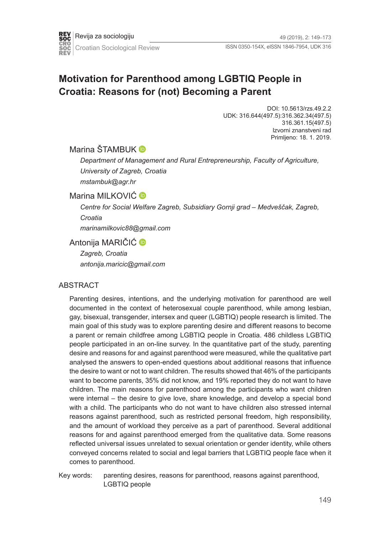# **Motivation for Parenthood among LGBTIQ People in Croatia: Reasons for (not) Becoming a Parent**

DOI: [10.5613/rzs.49.2.2](https://doi.org/10.5613/rzs.49.2.2) UDK: 316.644(497.5):316.362.34(497.5) 316.361.15(497.5) Izvorni znanstveni rad Primljeno: 18. 1. 2019.

## MarinaŠTAMBUK **D**

*Department of Management and Rural Entrepreneurship, Faculty of Agriculture, University of Zagreb, Croatia [mstambuk@agr.hr](mailto:mstambuk%40agr.hr?subject=)*

#### MarinaMILKOVIĆ D

*Centre for Social Welfare Zagreb, Subsidiary Gornji grad – Medveščak, Zagreb, Croatia [marinamilkovic88@gmail.com](mailto:marinamilkovic88%40gmail.com?subject=)*

AntonijaMARIČIĆ **O** 

*Zagreb, Croatia [antonija.maricic@gmail.com](mailto:antonija.maricic%40gmail.com?subject=)*

#### ABSTRACT

Parenting desires, intentions, and the underlying motivation for parenthood are well documented in the context of heterosexual couple parenthood, while among lesbian, gay, bisexual, transgender, intersex and queer (LGBTIQ) people research is limited. The main goal of this study was to explore parenting desire and different reasons to become a parent or remain childfree among LGBTIQ people in Croatia. 486 childless LGBTIQ people participated in an on-line survey. In the quantitative part of the study, parenting desire and reasons for and against parenthood were measured, while the qualitative part analysed the answers to open-ended questions about additional reasons that influence the desire to want or not to want children. The results showed that 46% of the participants want to become parents, 35% did not know, and 19% reported they do not want to have children. The main reasons for parenthood among the participants who want children were internal – the desire to give love, share knowledge, and develop a special bond with a child. The participants who do not want to have children also stressed internal reasons against parenthood, such as restricted personal freedom, high responsibility, and the amount of workload they perceive as a part of parenthood. Several additional reasons for and against parenthood emerged from the qualitative data. Some reasons reflected universal issues unrelated to sexual orientation or gender identity, while others conveyed concerns related to social and legal barriers that LGBTIQ people face when it comes to parenthood.

Key words: parenting desires, reasons for parenthood, reasons against parenthood, LGBTIQ people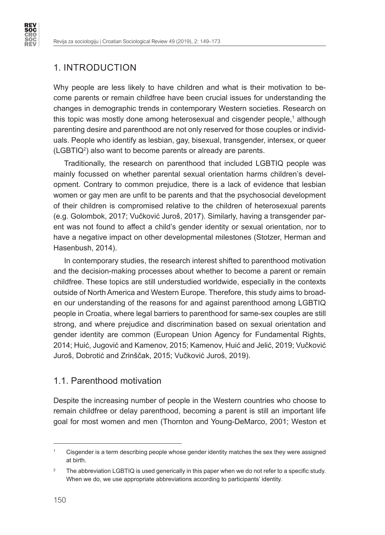

# 1. INTRODUCTION

Why people are less likely to have children and what is their motivation to become parents or remain childfree have been crucial issues for understanding the changes in demographic trends in contemporary Western societies. Research on this topic was mostly done among heterosexual and cisgender people,<sup>1</sup> although parenting desire and parenthood are not only reserved for those couples or individuals. People who identify as lesbian, gay, bisexual, transgender, intersex, or queer (LGBTIQ2 ) also want to become parents or already are parents.

Traditionally, the research on parenthood that included LGBTIQ people was mainly focussed on whether parental sexual orientation harms children's development. Contrary to common prejudice, there is a lack of evidence that lesbian women or gay men are unfit to be parents and that the psychosocial development of their children is compromised relative to the children of heterosexual parents (e.g. Golombok, 2017; Vučković Juroš, 2017). Similarly, having a transgender parent was not found to affect a child's gender identity or sexual orientation, nor to have a negative impact on other developmental milestones (Stotzer, Herman and Hasenbush, 2014).

In contemporary studies, the research interest shifted to parenthood motivation and the decision-making processes about whether to become a parent or remain childfree. These topics are still understudied worldwide, especially in the contexts outside of North America and Western Europe. Therefore, this study aims to broaden our understanding of the reasons for and against parenthood among LGBTIQ people in Croatia, where legal barriers to parenthood for same-sex couples are still strong, and where prejudice and discrimination based on sexual orientation and gender identity are common (European Union Agency for Fundamental Rights, 2014; Huić, Jugović and Kamenov, 2015; Kamenov, Huić and Jelić, 2019; Vučković Juroš, Dobrotić and Zrinščak, 2015; Vučković Juroš, 2019).

#### 1.1. Parenthood motivation

Despite the increasing number of people in the Western countries who choose to remain childfree or delay parenthood, becoming a parent is still an important life goal for most women and men (Thornton and Young-DeMarco, 2001; Weston et

<sup>1</sup> Cisgender is a term describing people whose gender identity matches the sex they were assigned at birth.

<sup>&</sup>lt;sup>2</sup> The abbreviation LGBTIQ is used generically in this paper when we do not refer to a specific study. When we do, we use appropriate abbreviations according to participants' identity.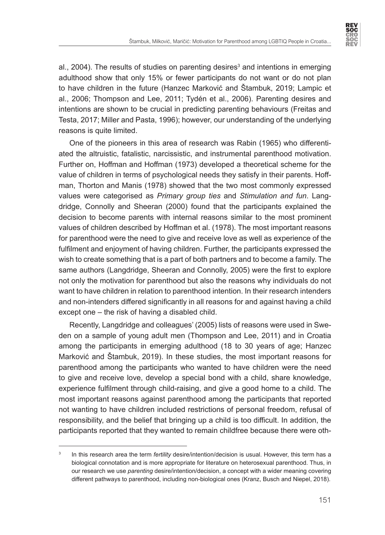

al., 2004). The results of studies on parenting desires<sup>3</sup> and intentions in emerging adulthood show that only 15% or fewer participants do not want or do not plan to have children in the future (Hanzec Marković and Štambuk, 2019; Lampic et al., 2006; Thompson and Lee, 2011; Tydén et al., 2006). Parenting desires and intentions are shown to be crucial in predicting parenting behaviours (Freitas and Testa, 2017; Miller and Pasta, 1996); however, our understanding of the underlying reasons is quite limited.

One of the pioneers in this area of research was Rabin (1965) who differentiated the altruistic, fatalistic, narcissistic, and instrumental parenthood motivation. Further on, Hoffman and Hoffman (1973) developed a theoretical scheme for the value of children in terms of psychological needs they satisfy in their parents. Hoffman, Thorton and Manis (1978) showed that the two most commonly expressed values were categorised as *Primary group ties* and *Stimulation and fun*. Langdridge, Connolly and Sheeran (2000) found that the participants explained the decision to become parents with internal reasons similar to the most prominent values of children described by Hoffman et al. (1978). The most important reasons for parenthood were the need to give and receive love as well as experience of the fulfilment and enjoyment of having children. Further, the participants expressed the wish to create something that is a part of both partners and to become a family. The same authors (Langdridge, Sheeran and Connolly, 2005) were the first to explore not only the motivation for parenthood but also the reasons why individuals do not want to have children in relation to parenthood intention. In their research intenders and non-intenders differed significantly in all reasons for and against having a child except one – the risk of having a disabled child.

Recently, Langdridge and colleagues' (2005) lists of reasons were used in Sweden on a sample of young adult men (Thompson and Lee, 2011) and in Croatia among the participants in emerging adulthood (18 to 30 years of age; Hanzec Marković and Štambuk, 2019). In these studies, the most important reasons for parenthood among the participants who wanted to have children were the need to give and receive love, develop a special bond with a child, share knowledge, experience fulfilment through child-raising, and give a good home to a child. The most important reasons against parenthood among the participants that reported not wanting to have children included restrictions of personal freedom, refusal of responsibility, and the belief that bringing up a child is too difficult. In addition, the participants reported that they wanted to remain childfree because there were oth-

<sup>&</sup>lt;sup>3</sup> In this research area the term *fertility* desire/intention/decision is usual. However, this term has a biological connotation and is more appropriate for literature on heterosexual parenthood. Thus, in our research we use *parenting* desire/intention/decision, a concept with a wider meaning covering different pathways to parenthood, including non-biological ones (Kranz, Busch and Niepel, 2018).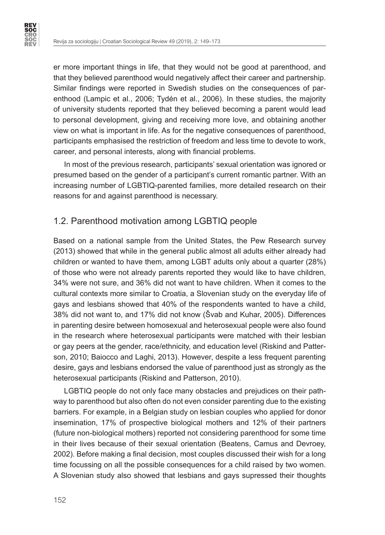**REV**<br>SOC **CRO<br>SOC<br>REV** 

> er more important things in life, that they would not be good at parenthood, and that they believed parenthood would negatively affect their career and partnership. Similar findings were reported in Swedish studies on the consequences of parenthood (Lampic et al., 2006; Tydén et al., 2006). In these studies, the majority of university students reported that they believed becoming a parent would lead to personal development, giving and receiving more love, and obtaining another view on what is important in life. As for the negative consequences of parenthood, participants emphasised the restriction of freedom and less time to devote to work, career, and personal interests, along with financial problems.

> In most of the previous research, participants' sexual orientation was ignored or presumed based on the gender of a participant's current romantic partner. With an increasing number of LGBTIQ-parented families, more detailed research on their reasons for and against parenthood is necessary.

## 1.2. Parenthood motivation among LGBTIQ people

Based on a national sample from the United States, the Pew Research survey (2013) showed that while in the general public almost all adults either already had children or wanted to have them, among LGBT adults only about a quarter (28%) of those who were not already parents reported they would like to have children, 34% were not sure, and 36% did not want to have children. When it comes to the cultural contexts more similar to Croatia, a Slovenian study on the everyday life of gays and lesbians showed that 40% of the respondents wanted to have a child, 38% did not want to, and 17% did not know (Švab and Kuhar, 2005). Differences in parenting desire between homosexual and heterosexual people were also found in the research where heterosexual participants were matched with their lesbian or gay peers at the gender, race/ethnicity, and education level (Riskind and Patterson, 2010; Baiocco and Laghi, 2013). However, despite a less frequent parenting desire, gays and lesbians endorsed the value of parenthood just as strongly as the heterosexual participants (Riskind and Patterson, 2010).

LGBTIQ people do not only face many obstacles and prejudices on their pathway to parenthood but also often do not even consider parenting due to the existing barriers. For example, in a Belgian study on lesbian couples who applied for donor insemination, 17% of prospective biological mothers and 12% of their partners (future non-biological mothers) reported not considering parenthood for some time in their lives because of their sexual orientation (Beatens, Camus and Devroey, 2002). Before making a final decision, most couples discussed their wish for a long time focussing on all the possible consequences for a child raised by two women. A Slovenian study also showed that lesbians and gays supressed their thoughts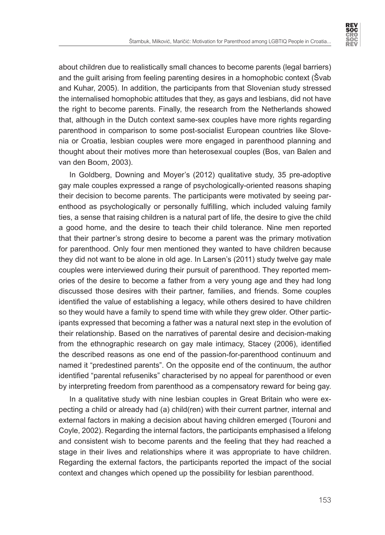

about children due to realistically small chances to become parents (legal barriers) and the guilt arising from feeling parenting desires in a homophobic context (Švab and Kuhar, 2005). In addition, the participants from that Slovenian study stressed the internalised homophobic attitudes that they, as gays and lesbians, did not have the right to become parents. Finally, the research from the Netherlands showed that, although in the Dutch context same-sex couples have more rights regarding parenthood in comparison to some post-socialist European countries like Slovenia or Croatia, lesbian couples were more engaged in parenthood planning and thought about their motives more than heterosexual couples (Bos, van Balen and van den Boom, 2003).

In Goldberg, Downing and Moyer's (2012) qualitative study, 35 pre-adoptive gay male couples expressed a range of psychologically-oriented reasons shaping their decision to become parents. The participants were motivated by seeing parenthood as psychologically or personally fulfilling, which included valuing family ties, a sense that raising children is a natural part of life, the desire to give the child a good home, and the desire to teach their child tolerance. Nine men reported that their partner's strong desire to become a parent was the primary motivation for parenthood. Only four men mentioned they wanted to have children because they did not want to be alone in old age. In Larsen's (2011) study twelve gay male couples were interviewed during their pursuit of parenthood. They reported memories of the desire to become a father from a very young age and they had long discussed those desires with their partner, families, and friends. Some couples identified the value of establishing a legacy, while others desired to have children so they would have a family to spend time with while they grew older. Other participants expressed that becoming a father was a natural next step in the evolution of their relationship. Based on the narratives of parental desire and decision-making from the ethnographic research on gay male intimacy, Stacey (2006), identified the described reasons as one end of the passion-for-parenthood continuum and named it "predestined parents". On the opposite end of the continuum, the author identified "parental refuseniks" characterised by no appeal for parenthood or even by interpreting freedom from parenthood as a compensatory reward for being gay.

In a qualitative study with nine lesbian couples in Great Britain who were expecting a child or already had (a) child(ren) with their current partner, internal and external factors in making a decision about having children emerged (Touroni and Coyle, 2002). Regarding the internal factors, the participants emphasised a lifelong and consistent wish to become parents and the feeling that they had reached a stage in their lives and relationships where it was appropriate to have children. Regarding the external factors, the participants reported the impact of the social context and changes which opened up the possibility for lesbian parenthood.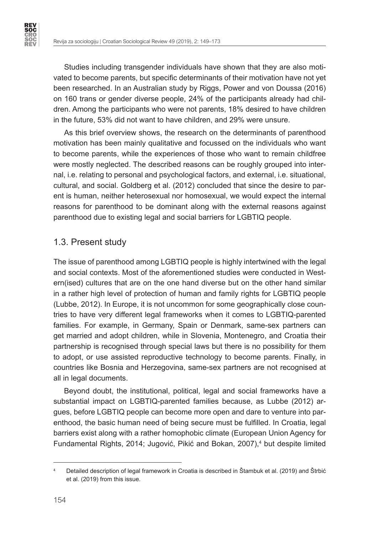Studies including transgender individuals have shown that they are also motivated to become parents, but specific determinants of their motivation have not yet been researched. In an Australian study by Riggs, Power and von Doussa (2016) on 160 trans or gender diverse people, 24% of the participants already had children. Among the participants who were not parents, 18% desired to have children in the future, 53% did not want to have children, and 29% were unsure.

As this brief overview shows, the research on the determinants of parenthood motivation has been mainly qualitative and focussed on the individuals who want to become parents, while the experiences of those who want to remain childfree were mostly neglected. The described reasons can be roughly grouped into internal, i.e. relating to personal and psychological factors, and external, i.e. situational, cultural, and social. Goldberg et al. (2012) concluded that since the desire to parent is human, neither heterosexual nor homosexual, we would expect the internal reasons for parenthood to be dominant along with the external reasons against parenthood due to existing legal and social barriers for LGBTIQ people.

## 1.3. Present study

**REV<br>SOC CRO**<br>SOC<br>REV

> The issue of parenthood among LGBTIQ people is highly intertwined with the legal and social contexts. Most of the aforementioned studies were conducted in Western(ised) cultures that are on the one hand diverse but on the other hand similar in a rather high level of protection of human and family rights for LGBTIQ people (Lubbe, 2012). In Europe, it is not uncommon for some geographically close countries to have very different legal frameworks when it comes to LGBTIQ-parented families. For example, in Germany, Spain or Denmark, same-sex partners can get married and adopt children, while in Slovenia, Montenegro, and Croatia their partnership is recognised through special laws but there is no possibility for them to adopt, or use assisted reproductive technology to become parents. Finally, in countries like Bosnia and Herzegovina, same-sex partners are not recognised at all in legal documents.

> Beyond doubt, the institutional, political, legal and social frameworks have a substantial impact on LGBTIQ-parented families because, as Lubbe (2012) argues, before LGBTIQ people can become more open and dare to venture into parenthood, the basic human need of being secure must be fulfilled. In Croatia, legal barriers exist along with a rather homophobic climate (European Union Agency for Fundamental Rights, 2014; Jugović, Pikić and Bokan, 2007),<sup>4</sup> but despite limited

Detailed description of legal framework in Croatia is described in Štambuk et al. (2019) and Štrbić et al. (2019) from this issue.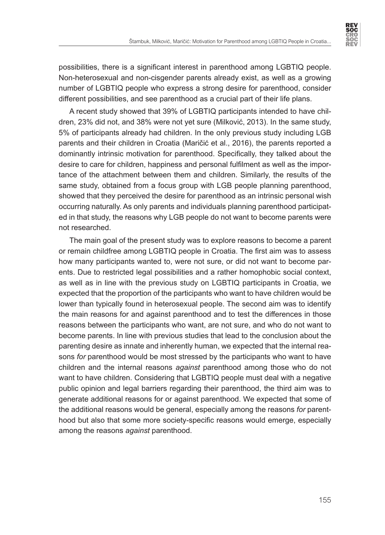

possibilities, there is a significant interest in parenthood among LGBTIQ people. Non-heterosexual and non-cisgender parents already exist, as well as a growing number of LGBTIQ people who express a strong desire for parenthood, consider different possibilities, and see parenthood as a crucial part of their life plans.

A recent study showed that 39% of LGBTIQ participants intended to have children, 23% did not, and 38% were not yet sure (Milković, 2013). In the same study, 5% of participants already had children. In the only previous study including LGB parents and their children in Croatia (Maričić et al., 2016), the parents reported a dominantly intrinsic motivation for parenthood. Specifically, they talked about the desire to care for children, happiness and personal fulfilment as well as the importance of the attachment between them and children. Similarly, the results of the same study, obtained from a focus group with LGB people planning parenthood, showed that they perceived the desire for parenthood as an intrinsic personal wish occurring naturally. As only parents and individuals planning parenthood participated in that study, the reasons why LGB people do not want to become parents were not researched.

The main goal of the present study was to explore reasons to become a parent or remain childfree among LGBTIQ people in Croatia. The first aim was to assess how many participants wanted to, were not sure, or did not want to become parents. Due to restricted legal possibilities and a rather homophobic social context, as well as in line with the previous study on LGBTIQ participants in Croatia, we expected that the proportion of the participants who want to have children would be lower than typically found in heterosexual people. The second aim was to identify the main reasons for and against parenthood and to test the differences in those reasons between the participants who want, are not sure, and who do not want to become parents. In line with previous studies that lead to the conclusion about the parenting desire as innate and inherently human, we expected that the internal reasons *for* parenthood would be most stressed by the participants who want to have children and the internal reasons *against* parenthood among those who do not want to have children. Considering that LGBTIQ people must deal with a negative public opinion and legal barriers regarding their parenthood, the third aim was to generate additional reasons for or against parenthood. We expected that some of the additional reasons would be general, especially among the reasons *for* parenthood but also that some more society-specific reasons would emerge, especially among the reasons *against* parenthood.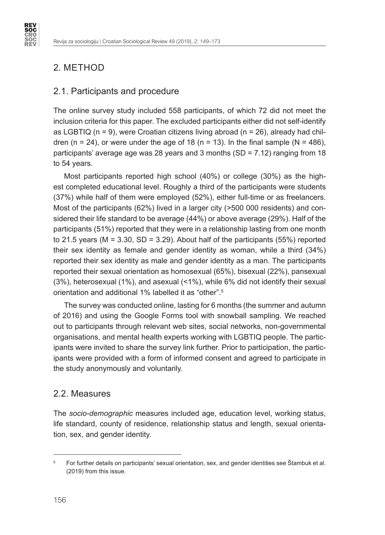

# 2. METHOD

## 2.1. Participants and procedure

The online survey study included 558 participants, of which 72 did not meet the inclusion criteria for this paper. The excluded participants either did not self-identify as LGBTIQ ( $n = 9$ ), were Croatian citizens living abroad ( $n = 26$ ), already had children (n = 24), or were under the age of 18 (n = 13). In the final sample (N = 486), participants' average age was 28 years and 3 months (SD = 7.12) ranging from 18 to 54 years.

Most participants reported high school (40%) or college (30%) as the highest completed educational level. Roughly a third of the participants were students (37%) while half of them were employed (52%), either full-time or as freelancers. Most of the participants (62%) lived in a larger city (>500 000 residents) and considered their life standard to be average (44%) or above average (29%). Half of the participants (51%) reported that they were in a relationship lasting from one month to 21.5 years ( $M = 3.30$ ,  $SD = 3.29$ ). About half of the participants (55%) reported their sex identity as female and gender identity as woman, while a third (34%) reported their sex identity as male and gender identity as a man. The participants reported their sexual orientation as homosexual (65%), bisexual (22%), pansexual (3%), heterosexual (1%), and asexual (<1%), while 6% did not identify their sexual orientation and additional 1% labelled it as "other".5

The survey was conducted online, lasting for 6 months (the summer and autumn of 2016) and using the Google Forms tool with snowball sampling. We reached out to participants through relevant web sites, social networks, non-governmental organisations, and mental health experts working with LGBTIQ people. The participants were invited to share the survey link further. Prior to participation, the participants were provided with a form of informed consent and agreed to participate in the study anonymously and voluntarily.

#### 2.2. Measures

The *socio-demographic* measures included age, education level, working status, life standard, county of residence, relationship status and length, sexual orientation, sex, and gender identity.

<sup>5</sup> For further details on participants' sexual orientation, sex, and gender identities see Štambuk et al. (2019) from this issue.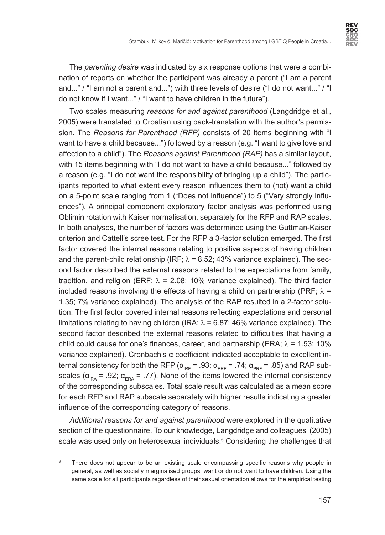

The *parenting desire* was indicated by six response options that were a combination of reports on whether the participant was already a parent ("I am a parent and..." / "I am not a parent and...") with three levels of desire ("I do not want..." / "I do not know if I want..." / "I want to have children in the future").

Two scales measuring *reasons for and against parenthood* (Langdridge et al., 2005) were translated to Croatian using back-translation with the author's permission. The *Reasons for Parenthood (RFP)* consists of 20 items beginning with "I want to have a child because...") followed by a reason (e.g. "I want to give love and affection to a child"). The *Reasons against Parenthood (RAP)* has a similar layout, with 15 items beginning with "I do not want to have a child because..." followed by a reason (e.g. "I do not want the responsibility of bringing up a child"). The participants reported to what extent every reason influences them to (not) want a child on a 5-point scale ranging from 1 ("Does not influence") to 5 ("Very strongly influences"). A principal component exploratory factor analysis was performed using Oblimin rotation with Kaiser normalisation, separately for the RFP and RAP scales. In both analyses, the number of factors was determined using the Guttman-Kaiser criterion and Cattell's scree test. For the RFP a 3-factor solution emerged. The first factor covered the internal reasons relating to positive aspects of having children and the parent-child relationship (IRF;  $\lambda$  = 8.52; 43% variance explained). The second factor described the external reasons related to the expectations from family, tradition, and religion (ERF;  $\lambda$  = 2.08; 10% variance explained). The third factor included reasons involving the effects of having a child on partnership (PRF;  $\lambda$  = 1,35; 7% variance explained). The analysis of the RAP resulted in a 2-factor solution. The first factor covered internal reasons reflecting expectations and personal limitations relating to having children (IRA;  $\lambda$  = 6.87; 46% variance explained). The second factor described the external reasons related to difficulties that having a child could cause for one's finances, career, and partnership (ERA;  $\lambda$  = 1.53; 10% variance explained). Cronbach's α coefficient indicated acceptable to excellent internal consistency for both the RFP ( $\alpha_{IRF}$  = .93;  $\alpha_{ERF}$  = .74;  $\alpha_{PRF}$  = .85) and RAP subscales ( $\alpha_{\text{IRA}}$  = .92;  $\alpha_{\text{ERA}}$  = .77). None of the items lowered the internal consistency of the corresponding subscales. Total scale result was calculated as a mean score for each RFP and RAP subscale separately with higher results indicating a greater influence of the corresponding category of reasons.

*Additional reasons for and against parenthood* were explored in the qualitative section of the questionnaire. To our knowledge, Langdridge and colleagues' (2005) scale was used only on heterosexual individuals.<sup>6</sup> Considering the challenges that

<sup>&</sup>lt;sup>6</sup> There does not appear to be an existing scale encompassing specific reasons why people in general, as well as socially marginalised groups, want or do not want to have children. Using the same scale for all participants regardless of their sexual orientation allows for the empirical testing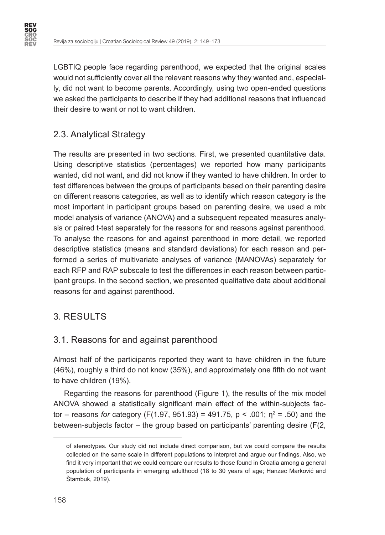LGBTIQ people face regarding parenthood, we expected that the original scales would not sufficiently cover all the relevant reasons why they wanted and, especially, did not want to become parents. Accordingly, using two open-ended questions we asked the participants to describe if they had additional reasons that influenced their desire to want or not to want children.

### 2.3. Analytical Strategy

The results are presented in two sections. First, we presented quantitative data. Using descriptive statistics (percentages) we reported how many participants wanted, did not want, and did not know if they wanted to have children. In order to test differences between the groups of participants based on their parenting desire on different reasons categories, as well as to identify which reason category is the most important in participant groups based on parenting desire, we used a mix model analysis of variance (ANOVA) and a subsequent repeated measures analysis or paired t-test separately for the reasons for and reasons against parenthood. To analyse the reasons for and against parenthood in more detail, we reported descriptive statistics (means and standard deviations) for each reason and performed a series of multivariate analyses of variance (MANOVAs) separately for each RFP and RAP subscale to test the differences in each reason between participant groups. In the second section, we presented qualitative data about additional reasons for and against parenthood.

### 3. RESULTS

#### 3.1. Reasons for and against parenthood

Almost half of the participants reported they want to have children in the future (46%), roughly a third do not know (35%), and approximately one fifth do not want to have children (19%).

Regarding the reasons for parenthood (Figure 1), the results of the mix model ANOVA showed a statistically significant main effect of the within-subjects factor – reasons *for* category (F(1.97, 951.93) = 491.75, p < .001; η<sup>2</sup> = .50) and the between-subjects factor – the group based on participants' parenting desire (F(2,

of stereotypes. Our study did not include direct comparison, but we could compare the results collected on the same scale in different populations to interpret and argue our findings. Also, we find it very important that we could compare our results to those found in Croatia among a general population of participants in emerging adulthood (18 to 30 years of age; Hanzec Marković and Štambuk, 2019).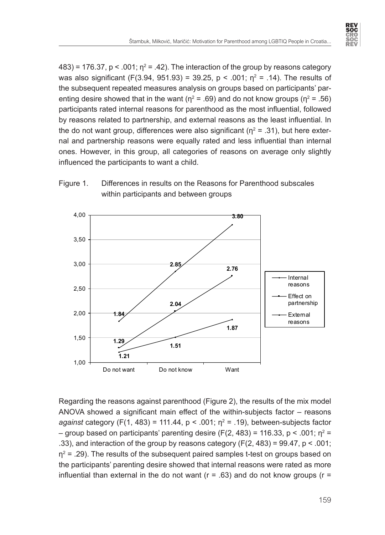

483) = 176.37, p < .001;  $\eta^2$  = .42). The interaction of the group by reasons category was also significant (F(3.94, 951.93) = 39.25, p < .001;  $\eta^2$  = .14). The results of the subsequent repeated measures analysis on groups based on participants' parenting desire showed that in the want ( $\eta^2$  = .69) and do not know groups ( $\eta^2$  = .56) participants rated internal reasons for parenthood as the most influential, followed by reasons related to partnership, and external reasons as the least influential. In the do not want group, differences were also significant (η² = .31), but here external and partnership reasons were equally rated and less influential than internal ones. However, in this group, all categories of reasons on average only slightly influenced the participants to want a child.

#### Figure 1. Differences in results on the Reasons for Parenthood subscales within participants and between groups



Regarding the reasons against parenthood (Figure 2), the results of the mix model ANOVA showed a significant main effect of the within-subjects factor – reasons *against* category (F(1, 483) = 111.44,  $p < .001$ ;  $n^2 = .19$ ), between-subjects factor – group based on participants' parenting desire (F(2, 483) = 116.33, p < .001;  $\eta^2$  = .33), and interaction of the group by reasons category ( $F(2, 483) = 99.47$ , p < .001;  $\eta^2$  = .29). The results of the subsequent paired samples t-test on groups based on the participants' parenting desire showed that internal reasons were rated as more influential than external in the do not want ( $r = .63$ ) and do not know groups ( $r =$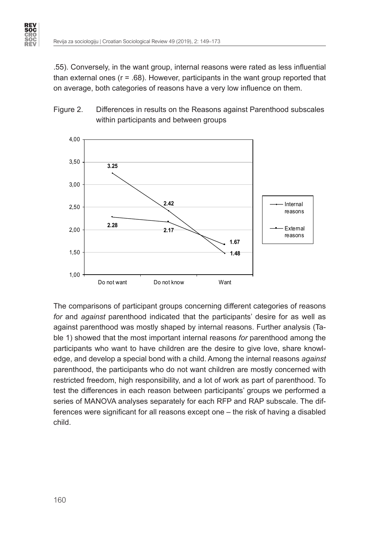**REV<br>SOC CRU<br>SOC<br>REV** 

> .55). Conversely, in the want group, internal reasons were rated as less influential than external ones (r = .68). However, participants in the want group reported that on average, both categories of reasons have a very low influence on them.





The comparisons of participant groups concerning different categories of reasons *for* and *against* parenthood indicated that the participants' desire for as well as against parenthood was mostly shaped by internal reasons. Further analysis (Table 1) showed that the most important internal reasons *for* parenthood among the participants who want to have children are the desire to give love, share knowledge, and develop a special bond with a child. Among the internal reasons *against* parenthood, the participants who do not want children are mostly concerned with restricted freedom, high responsibility, and a lot of work as part of parenthood. To test the differences in each reason between participants' groups we performed a series of MANOVA analyses separately for each RFP and RAP subscale. The differences were significant for all reasons except one – the risk of having a disabled child.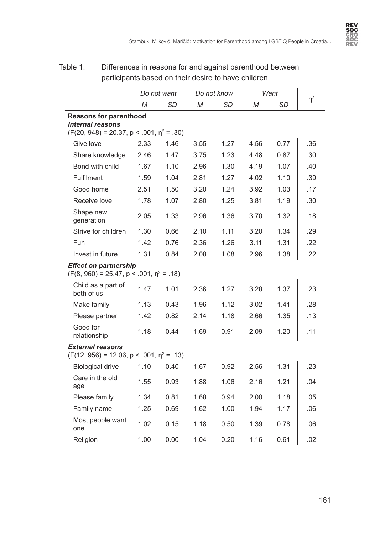

|                                                                               | Do not want |      | Do not know |      | Want |      | $\eta^2$ |
|-------------------------------------------------------------------------------|-------------|------|-------------|------|------|------|----------|
|                                                                               | M           | SD   | М           | SD   | M    | SD   |          |
| <b>Reasons for parenthood</b>                                                 |             |      |             |      |      |      |          |
| <b>Internal reasons</b><br>$(F(20, 948) = 20.37, p < .001, n^2 = .30)$        |             |      |             |      |      |      |          |
| Give love                                                                     | 2.33        | 1.46 | 3.55        | 1.27 | 4.56 | 0.77 | .36      |
| Share knowledge                                                               | 2.46        | 1.47 | 3.75        | 1.23 | 4.48 | 0.87 | .30      |
| Bond with child                                                               | 1.67        | 1.10 | 2.96        | 1.30 | 4.19 | 1.07 | .40      |
| Fulfilment                                                                    | 1.59        | 1.04 | 2.81        | 1.27 | 4.02 | 1.10 | .39      |
| Good home                                                                     | 2.51        | 1.50 | 3.20        | 1.24 | 3.92 | 1.03 | .17      |
| Receive love                                                                  | 1.78        | 1.07 | 2.80        | 1.25 | 3.81 | 1.19 | .30      |
| Shape new                                                                     |             |      |             |      |      |      |          |
| generation                                                                    | 2.05        | 1.33 | 2.96        | 1.36 | 3.70 | 1.32 | .18      |
| Strive for children                                                           | 1.30        | 0.66 | 2.10        | 1.11 | 3.20 | 1.34 | .29      |
| Fun                                                                           | 1.42        | 0.76 | 2.36        | 1.26 | 3.11 | 1.31 | .22      |
| Invest in future                                                              | 1.31        | 0.84 | 2.08        | 1.08 | 2.96 | 1.38 | .22      |
| <b>Effect on partnership</b><br>$(F(8, 960) = 25.47, p < .001, \eta^2 = .18)$ |             |      |             |      |      |      |          |
| Child as a part of<br>both of us                                              | 1.47        | 1.01 | 2.36        | 1.27 | 3.28 | 1.37 | .23      |
| Make family                                                                   | 1.13        | 0.43 | 1.96        | 1.12 | 3.02 | 1.41 | .28      |
| Please partner                                                                | 1.42        | 0.82 | 2.14        | 1.18 | 2.66 | 1.35 | .13      |
| Good for<br>relationship                                                      | 1.18        | 0.44 | 1.69        | 0.91 | 2.09 | 1.20 | .11      |
| <b>External reasons</b><br>$(F(12, 956) = 12.06, p < .001, n^2 = .13)$        |             |      |             |      |      |      |          |
| <b>Biological drive</b>                                                       | 1.10        | 0.40 | 1.67        | 0.92 | 2.56 | 1.31 | .23      |
| Care in the old                                                               |             |      |             |      |      |      |          |
| age                                                                           | 1.55        | 0.93 | 1.88        | 1.06 | 2.16 | 1.21 | .04      |
| Please family                                                                 | 1.34        | 0.81 | 1.68        | 0.94 | 2.00 | 1.18 | .05      |
| Family name                                                                   | 1.25        | 0.69 | 1.62        | 1.00 | 1.94 | 1.17 | .06      |
| Most people want<br>one                                                       | 1.02        | 0.15 | 1.18        | 0.50 | 1.39 | 0.78 | .06      |
| Religion                                                                      | 1.00        | 0.00 | 1.04        | 0.20 | 1.16 | 0.61 | .02      |

#### Table 1. Differences in reasons for and against parenthood between participants based on their desire to have children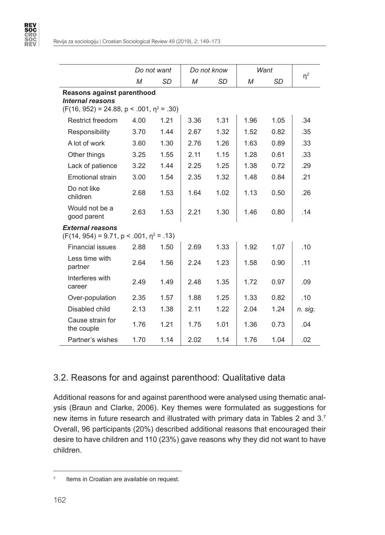

|                                                                                                      | Do not want |      | Do not know |      | Want |      |          |
|------------------------------------------------------------------------------------------------------|-------------|------|-------------|------|------|------|----------|
|                                                                                                      | M           | SD   | M           | SD   | M    | SD   | $\eta^2$ |
| Reasons against parenthood<br><b>Internal reasons</b><br>$(F(16, 952) = 24.88, p < .001, n^2 = .30)$ |             |      |             |      |      |      |          |
| <b>Restrict freedom</b>                                                                              | 4.00        | 1.21 | 3.36        | 1.31 | 1.96 | 1.05 | .34      |
| Responsibility                                                                                       | 3.70        | 1.44 | 2.67        | 1.32 | 1.52 | 0.82 | .35      |
| A lot of work                                                                                        | 3.60        | 1.30 | 2.76        | 1.26 | 1.63 | 0.89 | .33      |
| Other things                                                                                         | 3.25        | 1.55 | 2.11        | 1.15 | 1.28 | 0.61 | .33      |
| Lack of patience                                                                                     | 3.22        | 1.44 | 2.25        | 1.25 | 1.38 | 0.72 | .29      |
| Emotional strain                                                                                     | 3.00        | 1.54 | 2.35        | 1.32 | 1.48 | 0.84 | .21      |
| Do not like<br>children                                                                              | 2.68        | 1.53 | 1.64        | 1.02 | 1.13 | 0.50 | .26      |
| Would not be a<br>good parent                                                                        | 2.63        | 1.53 | 2.21        | 1.30 | 1.46 | 0.80 | .14      |
| <b>External reasons</b><br>$(F(14, 954) = 9.71, p < .001, n^2 = .13)$                                |             |      |             |      |      |      |          |
| <b>Financial issues</b>                                                                              | 2.88        | 1.50 | 2.69        | 1.33 | 1.92 | 1.07 | .10      |
| Less time with<br>partner                                                                            | 2.64        | 1.56 | 2.24        | 1.23 | 1.58 | 0.90 | .11      |
| Interferes with<br>career                                                                            | 2.49        | 1.49 | 2.48        | 1.35 | 1.72 | 0.97 | .09      |
| Over-population                                                                                      | 2.35        | 1.57 | 1.88        | 1.25 | 1.33 | 0.82 | .10      |
| Disabled child                                                                                       | 2.13        | 1.38 | 2.11        | 1.22 | 2.04 | 1.24 | n. sig.  |
| Cause strain for<br>the couple                                                                       | 1.76        | 1.21 | 1.75        | 1.01 | 1.36 | 0.73 | .04      |
| Partner's wishes                                                                                     | 1.70        | 1.14 | 2.02        | 1.14 | 1.76 | 1.04 | .02      |

#### 3.2. Reasons for and against parenthood: Qualitative data

Additional reasons for and against parenthood were analysed using thematic analysis (Braun and Clarke, 2006). Key themes were formulated as suggestions for new items in future research and illustrated with primary data in Tables 2 and 3.7 Overall, 96 participants (20%) described additional reasons that encouraged their desire to have children and 110 (23%) gave reasons why they did not want to have children.

<sup>&</sup>lt;sup>7</sup> Items in Croatian are available on request.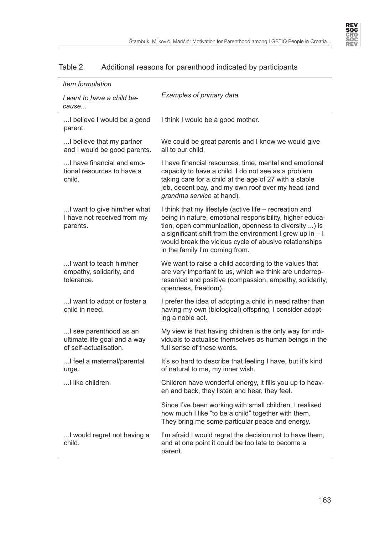

#### Table 2. Additional reasons for parenthood indicated by participants

| Item formulation                                                                 |                                                                                                                                                                                                                                                                                                                                      |
|----------------------------------------------------------------------------------|--------------------------------------------------------------------------------------------------------------------------------------------------------------------------------------------------------------------------------------------------------------------------------------------------------------------------------------|
| I want to have a child be-<br>cause                                              | Examples of primary data                                                                                                                                                                                                                                                                                                             |
| I believe I would be a good<br>parent.                                           | I think I would be a good mother.                                                                                                                                                                                                                                                                                                    |
| I believe that my partner<br>and I would be good parents.                        | We could be great parents and I know we would give<br>all to our child.                                                                                                                                                                                                                                                              |
| I have financial and emo-<br>tional resources to have a<br>child.                | I have financial resources, time, mental and emotional<br>capacity to have a child. I do not see as a problem<br>taking care for a child at the age of 27 with a stable<br>job, decent pay, and my own roof over my head (and<br>grandma service at hand).                                                                           |
| I want to give him/her what<br>I have not received from my<br>parents.           | I think that my lifestyle (active life - recreation and<br>being in nature, emotional responsibility, higher educa-<br>tion, open communication, openness to diversity ) is<br>a significant shift from the environment I grew up in - I<br>would break the vicious cycle of abusive relationships<br>in the family I'm coming from. |
| I want to teach him/her<br>empathy, solidarity, and<br>tolerance.                | We want to raise a child according to the values that<br>are very important to us, which we think are underrep-<br>resented and positive (compassion, empathy, solidarity,<br>openness, freedom).                                                                                                                                    |
| I want to adopt or foster a<br>child in need.                                    | I prefer the idea of adopting a child in need rather than<br>having my own (biological) offspring, I consider adopt-<br>ing a noble act.                                                                                                                                                                                             |
| I see parenthood as an<br>ultimate life goal and a way<br>of self-actualisation. | My view is that having children is the only way for indi-<br>viduals to actualise themselves as human beings in the<br>full sense of these words.                                                                                                                                                                                    |
| I feel a maternal/parental<br>urge.                                              | It's so hard to describe that feeling I have, but it's kind<br>of natural to me, my inner wish.                                                                                                                                                                                                                                      |
| l like children.                                                                 | Children have wonderful energy, it fills you up to heav-<br>en and back, they listen and hear, they feel.                                                                                                                                                                                                                            |
|                                                                                  | Since I've been working with small children, I realised<br>how much I like "to be a child" together with them.<br>They bring me some particular peace and energy.                                                                                                                                                                    |
| I would regret not having a<br>child.                                            | I'm afraid I would regret the decision not to have them,<br>and at one point it could be too late to become a<br>parent.                                                                                                                                                                                                             |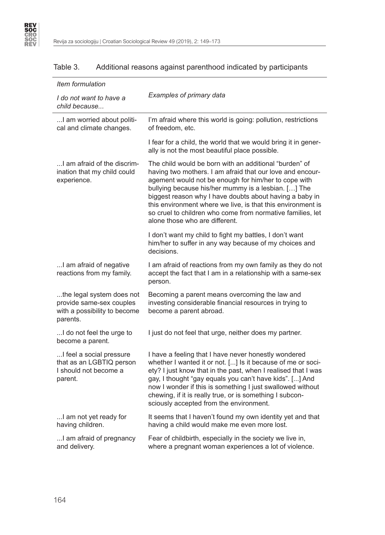**REV<br>SOC<br>CRO<br>SOC<br>REV<br>REV** 

| Item formulation                                                                                  |                                                                                                                                                                                                                                                                                                                                                                                                                                                              |
|---------------------------------------------------------------------------------------------------|--------------------------------------------------------------------------------------------------------------------------------------------------------------------------------------------------------------------------------------------------------------------------------------------------------------------------------------------------------------------------------------------------------------------------------------------------------------|
| I do not want to have a<br>child because                                                          | Examples of primary data                                                                                                                                                                                                                                                                                                                                                                                                                                     |
| I am worried about politi-<br>cal and climate changes.                                            | I'm afraid where this world is going: pollution, restrictions<br>of freedom, etc.                                                                                                                                                                                                                                                                                                                                                                            |
|                                                                                                   | I fear for a child, the world that we would bring it in gener-<br>ally is not the most beautiful place possible.                                                                                                                                                                                                                                                                                                                                             |
| I am afraid of the discrim-<br>ination that my child could<br>experience.                         | The child would be born with an additional "burden" of<br>having two mothers. I am afraid that our love and encour-<br>agement would not be enough for him/her to cope with<br>bullying because his/her mummy is a lesbian. [] The<br>biggest reason why I have doubts about having a baby in<br>this environment where we live, is that this environment is<br>so cruel to children who come from normative families, let<br>alone those who are different. |
|                                                                                                   | I don't want my child to fight my battles, I don't want<br>him/her to suffer in any way because of my choices and<br>decisions.                                                                                                                                                                                                                                                                                                                              |
| I am afraid of negative<br>reactions from my family.                                              | I am afraid of reactions from my own family as they do not<br>accept the fact that I am in a relationship with a same-sex<br>person.                                                                                                                                                                                                                                                                                                                         |
| the legal system does not<br>provide same-sex couples<br>with a possibility to become<br>parents. | Becoming a parent means overcoming the law and<br>investing considerable financial resources in trying to<br>become a parent abroad.                                                                                                                                                                                                                                                                                                                         |
| I do not feel the urge to<br>become a parent.                                                     | I just do not feel that urge, neither does my partner.                                                                                                                                                                                                                                                                                                                                                                                                       |
| I feel a social pressure<br>that as an LGBTIQ person<br>I should not become a<br>parent.          | I have a feeling that I have never honestly wondered<br>whether I wanted it or not. [] Is it because of me or soci-<br>ety? I just know that in the past, when I realised that I was<br>gay, I thought "gay equals you can't have kids". [] And<br>now I wonder if this is something I just swallowed without<br>chewing, if it is really true, or is something I subcon-<br>sciously accepted from the environment.                                         |
| I am not yet ready for<br>having children.                                                        | It seems that I haven't found my own identity yet and that<br>having a child would make me even more lost.                                                                                                                                                                                                                                                                                                                                                   |
| I am afraid of pregnancy<br>and delivery.                                                         | Fear of childbirth, especially in the society we live in,<br>where a pregnant woman experiences a lot of violence.                                                                                                                                                                                                                                                                                                                                           |
|                                                                                                   |                                                                                                                                                                                                                                                                                                                                                                                                                                                              |

#### Table 3. Additional reasons against parenthood indicated by participants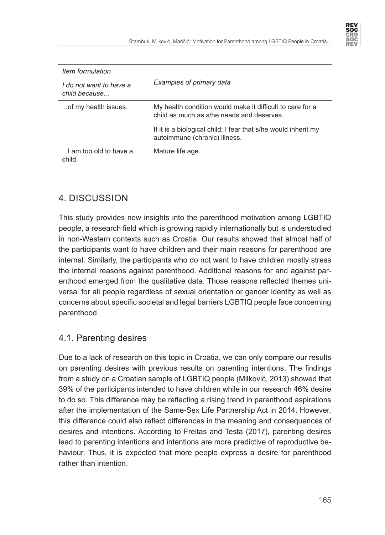

| <i><u><b>Item formulation</b></u></i>    |                                                                                                        |  |
|------------------------------------------|--------------------------------------------------------------------------------------------------------|--|
| I do not want to have a<br>child because | Examples of primary data                                                                               |  |
| of my health issues.                     | My health condition would make it difficult to care for a<br>child as much as s/he needs and deserves. |  |
|                                          | If it is a biological child; I fear that s/he would inherit my<br>autoimmune (chronic) illness.        |  |
| $\ldots$ am too old to have a<br>child.  | Mature life age.                                                                                       |  |

# 4. DISCUSSION

This study provides new insights into the parenthood motivation among LGBTIQ people, a research field which is growing rapidly internationally but is understudied in non-Western contexts such as Croatia. Our results showed that almost half of the participants want to have children and their main reasons for parenthood are internal. Similarly, the participants who do not want to have children mostly stress the internal reasons against parenthood. Additional reasons for and against parenthood emerged from the qualitative data. Those reasons reflected themes universal for all people regardless of sexual orientation or gender identity as well as concerns about specific societal and legal barriers LGBTIQ people face concerning parenthood.

# 4.1. Parenting desires

Due to a lack of research on this topic in Croatia, we can only compare our results on parenting desires with previous results on parenting intentions. The findings from a study on a Croatian sample of LGBTIQ people (Milković, 2013) showed that 39% of the participants intended to have children while in our research 46% desire to do so. This difference may be reflecting a rising trend in parenthood aspirations after the implementation of the Same-Sex Life Partnership Act in 2014. However, this difference could also reflect differences in the meaning and consequences of desires and intentions. According to Freitas and Testa (2017), parenting desires lead to parenting intentions and intentions are more predictive of reproductive behaviour. Thus, it is expected that more people express a desire for parenthood rather than intention.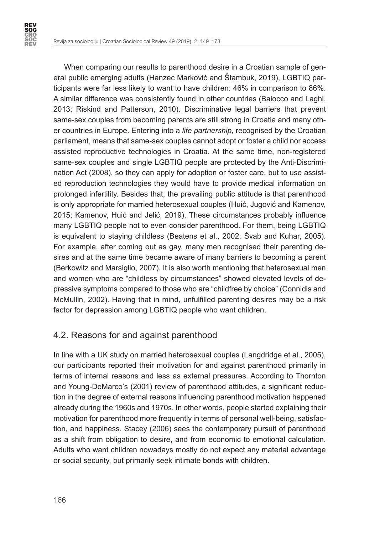**REV**<br>SOC **CRO<br>SOC<br>REV** 

> When comparing our results to parenthood desire in a Croatian sample of general public emerging adults (Hanzec Marković and Štambuk, 2019), LGBTIQ participants were far less likely to want to have children: 46% in comparison to 86%. A similar difference was consistently found in other countries (Baiocco and Laghi, 2013; Riskind and Patterson, 2010). Discriminative legal barriers that prevent same-sex couples from becoming parents are still strong in Croatia and many other countries in Europe. Entering into a *life partnership*, recognised by the Croatian parliament, means that same-sex couples cannot adopt or foster a child nor access assisted reproductive technologies in Croatia. At the same time, non-registered same-sex couples and single LGBTIQ people are protected by the Anti-Discrimination Act (2008), so they can apply for adoption or foster care, but to use assisted reproduction technologies they would have to provide medical information on prolonged infertility. Besides that, the prevailing public attitude is that parenthood is only appropriate for married heterosexual couples (Huić, Jugović and Kamenov, 2015; Kamenov, Huić and Jelić, 2019). These circumstances probably influence many LGBTIQ people not to even consider parenthood. For them, being LGBTIQ is equivalent to staying childless (Beatens et al., 2002; Švab and Kuhar, 2005). For example, after coming out as gay, many men recognised their parenting desires and at the same time became aware of many barriers to becoming a parent (Berkowitz and Marsiglio, 2007). It is also worth mentioning that heterosexual men and women who are "childless by circumstances" showed elevated levels of depressive symptoms compared to those who are "childfree by choice" (Connidis and McMullin, 2002). Having that in mind, unfulfilled parenting desires may be a risk factor for depression among LGBTIQ people who want children.

### 4.2. Reasons for and against parenthood

In line with a UK study on married heterosexual couples (Langdridge et al., 2005), our participants reported their motivation for and against parenthood primarily in terms of internal reasons and less as external pressures. According to Thornton and Young-DeMarco's (2001) review of parenthood attitudes, a significant reduction in the degree of external reasons influencing parenthood motivation happened already during the 1960s and 1970s. In other words, people started explaining their motivation for parenthood more frequently in terms of personal well-being, satisfaction, and happiness. Stacey (2006) sees the contemporary pursuit of parenthood as a shift from obligation to desire, and from economic to emotional calculation. Adults who want children nowadays mostly do not expect any material advantage or social security, but primarily seek intimate bonds with children.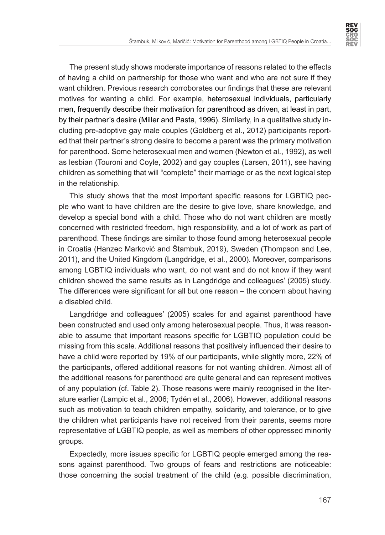

The present study shows moderate importance of reasons related to the effects of having a child on partnership for those who want and who are not sure if they want children. Previous research corroborates our findings that these are relevant motives for wanting a child. For example, heterosexual individuals, particularly men, frequently describe their motivation for parenthood as driven, at least in part, by their partner's desire (Miller and Pasta, 1996). Similarly, in a qualitative study including pre-adoptive gay male couples (Goldberg et al., 2012) participants reported that their partner's strong desire to become a parent was the primary motivation for parenthood. Some heterosexual men and women (Newton et al., 1992), as well as lesbian (Touroni and Coyle, 2002) and gay couples (Larsen, 2011), see having children as something that will "complete" their marriage or as the next logical step in the relationship.

This study shows that the most important specific reasons for LGBTIQ people who want to have children are the desire to give love, share knowledge, and develop a special bond with a child. Those who do not want children are mostly concerned with restricted freedom, high responsibility, and a lot of work as part of parenthood. These findings are similar to those found among heterosexual people in Croatia (Hanzec Marković and Štambuk, 2019), Sweden (Thompson and Lee, 2011), and the United Kingdom (Langdridge, et al., 2000). Moreover, comparisons among LGBTIQ individuals who want, do not want and do not know if they want children showed the same results as in Langdridge and colleagues' (2005) study. The differences were significant for all but one reason – the concern about having a disabled child.

Langdridge and colleagues' (2005) scales for and against parenthood have been constructed and used only among heterosexual people. Thus, it was reasonable to assume that important reasons specific for LGBTIQ population could be missing from this scale. Additional reasons that positively influenced their desire to have a child were reported by 19% of our participants, while slightly more, 22% of the participants, offered additional reasons for not wanting children. Almost all of the additional reasons for parenthood are quite general and can represent motives of any population (cf. Table 2). Those reasons were mainly recognised in the literature earlier (Lampic et al., 2006; Tydén et al., 2006). However, additional reasons such as motivation to teach children empathy, solidarity, and tolerance, or to give the children what participants have not received from their parents, seems more representative of LGBTIQ people, as well as members of other oppressed minority groups.

Expectedly, more issues specific for LGBTIQ people emerged among the reasons against parenthood*.* Two groups of fears and restrictions are noticeable: those concerning the social treatment of the child (e.g. possible discrimination,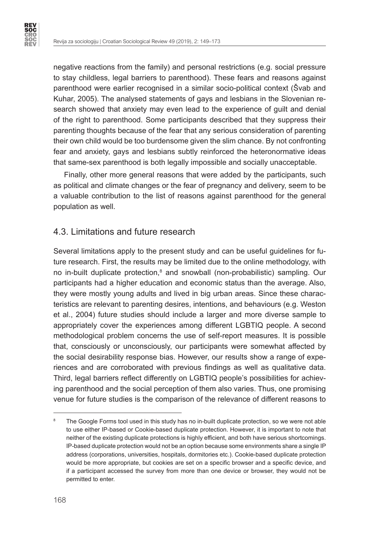**REV<br>SOC CRO<br>SOC<br>REV** 

> negative reactions from the family) and personal restrictions (e.g. social pressure to stay childless, legal barriers to parenthood). These fears and reasons against parenthood were earlier recognised in a similar socio-political context (Švab and Kuhar, 2005). The analysed statements of gays and lesbians in the Slovenian research showed that anxiety may even lead to the experience of guilt and denial of the right to parenthood. Some participants described that they suppress their parenting thoughts because of the fear that any serious consideration of parenting their own child would be too burdensome given the slim chance. By not confronting fear and anxiety, gays and lesbians subtly reinforced the heteronormative ideas that same-sex parenthood is both legally impossible and socially unacceptable.

> Finally, other more general reasons that were added by the participants, such as political and climate changes or the fear of pregnancy and delivery, seem to be a valuable contribution to the list of reasons against parenthood for the general population as well.

### 4.3. Limitations and future research

Several limitations apply to the present study and can be useful guidelines for future research. First, the results may be limited due to the online methodology, with no in-built duplicate protection,<sup>8</sup> and snowball (non-probabilistic) sampling. Our participants had a higher education and economic status than the average. Also, they were mostly young adults and lived in big urban areas. Since these characteristics are relevant to parenting desires, intentions, and behaviours (e.g. Weston et al., 2004) future studies should include a larger and more diverse sample to appropriately cover the experiences among different LGBTIQ people. A second methodological problem concerns the use of self-report measures. It is possible that, consciously or unconsciously, our participants were somewhat affected by the social desirability response bias. However, our results show a range of experiences and are corroborated with previous findings as well as qualitative data. Third, legal barriers reflect differently on LGBTIQ people's possibilities for achieving parenthood and the social perception of them also varies. Thus, one promising venue for future studies is the comparison of the relevance of different reasons to

The Google Forms tool used in this study has no in-built duplicate protection, so we were not able to use either IP-based or Cookie-based duplicate protection. However, it is important to note that neither of the existing duplicate protections is highly efficient, and both have serious shortcomings. IP-based duplicate protection would not be an option because some environments share a single IP address (corporations, universities, hospitals, dormitories etc.). Cookie-based duplicate protection would be more appropriate, but cookies are set on a specific browser and a specific device, and if a participant accessed the survey from more than one device or browser, they would not be permitted to enter.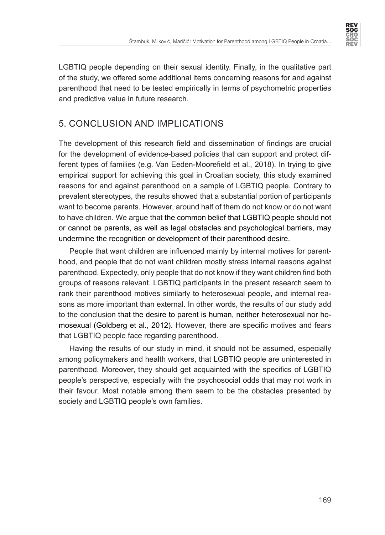

LGBTIQ people depending on their sexual identity. Finally, in the qualitative part of the study, we offered some additional items concerning reasons for and against parenthood that need to be tested empirically in terms of psychometric properties and predictive value in future research.

# 5. CONCLUSION AND IMPLICATIONS

The development of this research field and dissemination of findings are crucial for the development of evidence-based policies that can support and protect different types of families (e.g. Van Eeden-Moorefield et al., 2018). In trying to give empirical support for achieving this goal in Croatian society, this study examined reasons for and against parenthood on a sample of LGBTIQ people. Contrary to prevalent stereotypes, the results showed that a substantial portion of participants want to become parents. However, around half of them do not know or do not want to have children. We argue that the common belief that LGBTIQ people should not or cannot be parents, as well as legal obstacles and psychological barriers, may undermine the recognition or development of their parenthood desire.

People that want children are influenced mainly by internal motives for parenthood, and people that do not want children mostly stress internal reasons against parenthood. Expectedly, only people that do not know if they want children find both groups of reasons relevant. LGBTIQ participants in the present research seem to rank their parenthood motives similarly to heterosexual people, and internal reasons as more important than external. In other words, the results of our study add to the conclusion that the desire to parent is human, neither heterosexual nor homosexual (Goldberg et al., 2012). However, there are specific motives and fears that LGBTIQ people face regarding parenthood.

Having the results of our study in mind, it should not be assumed, especially among policymakers and health workers, that LGBTIQ people are uninterested in parenthood. Moreover, they should get acquainted with the specifics of LGBTIQ people's perspective, especially with the psychosocial odds that may not work in their favour. Most notable among them seem to be the obstacles presented by society and LGBTIQ people's own families.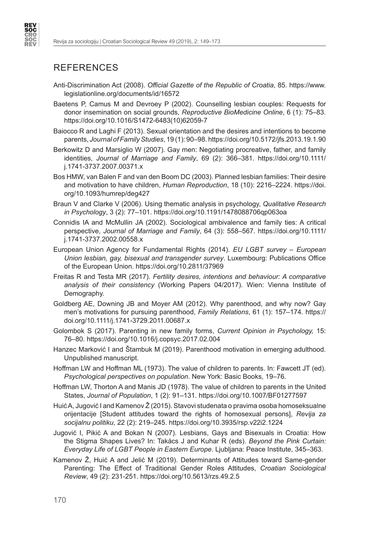

## **REFERENCES**

- Anti-Discrimination Act (2008). *Official Gazette of the Republic of Croatia*, 85. [https://www.](https://www.legislationline.org/documents/id/16572) [legislationline.org/documents/id/16572](https://www.legislationline.org/documents/id/16572)
- Baetens P, Camus M and Devroey P (2002). Counselling lesbian couples: Requests for donor insemination on social grounds*, Reproductive BioMedicine Online*, 6 (1): 75–83. [https://doi.org/10.1016/S1472-6483\(10\)62059-7](https://doi.org/10.1016/S1472-6483(10)62059-7)
- Baiocco R and Laghi F (2013). Sexual orientation and the desires and intentions to become parents, *Journal of Family Studies*, 19 (1): 90–98.<https://doi.org/10.5172/jfs.2013.19.1.90>
- Berkowitz D and Marsiglio W (2007). Gay men: Negotiating procreative, father, and family identities, *Journal of Marriage and Family*, 69 (2): 366–381. [https://doi.org/10.1111/](https://doi.org/10.1111/j.1741-3737.2007.00371.x) [j.1741-3737.2007.00371.x](https://doi.org/10.1111/j.1741-3737.2007.00371.x)
- Bos HMW, van Balen F and van den Boom DC (2003). Planned lesbian families: Their desire and motivation to have children, *Human Reproduction*, 18 (10): 2216–2224. [https://doi.](https://doi.org/10.1093/humrep/deg427) [org/10.1093/humrep/deg427](https://doi.org/10.1093/humrep/deg427)
- Braun V and Clarke V (2006). Using thematic analysis in psychology, *Qualitative Research in Psychology*, 3 (2): 77–101.<https://doi.org/10.1191/1478088706qp063oa>
- Connidis IA and McMullin JA (2002). Sociological ambivalence and family ties: A critical perspective, *Journal of Marriage and Family*, 64 (3): 558–567. [https://doi.org/10.1111/](https://doi.org/10.1111/j.1741-3737.2002.00558.x) [j.1741-3737.2002.00558.x](https://doi.org/10.1111/j.1741-3737.2002.00558.x)
- European Union Agency for Fundamental Rights (2014). *EU LGBT survey European Union lesbian, gay, bisexual and transgender survey*. Luxembourg: Publications Office of the European Union.<https://doi.org/10.2811/37969>
- Freitas R and Testa MR (2017). *Fertility desires, intentions and behaviour: A comparative analysis of their consistency* (Working Papers 04/2017). Wien: Vienna Institute of Demography.
- Goldberg AE, Downing JB and Moyer AM (2012). Why parenthood, and why now? Gay men's motivations for pursuing parenthood, *Family Relations*, 61 (1): 157–174. [https://](https://doi.org/10.1111/j.1741-3729.2011.00687.x) [doi.org/10.1111/j.1741-3729.2011.00687.x](https://doi.org/10.1111/j.1741-3729.2011.00687.x)
- Golombok S (2017). Parenting in new family forms, *Current Opinion in Psychology,* 15: 76–80.<https://doi.org/10.1016/j.copsyc.2017.02.004>
- Hanzec Marković I and Štambuk M (2019). Parenthood motivation in emerging adulthood. Unpublished manuscript.
- Hoffman LW and Hoffman ML (1973). The value of children to parents. In: Fawcett JT (ed). *Psychological perspectives on population*. New York: Basic Books, 19–76*.*
- Hoffman LW, Thorton A and Manis JD (1978). The value of children to parents in the United States, *Journal of Population*, 1 (2): 91–131. <https://doi.org/10.1007/BF01277597>
- Huić A, Jugović I and Kamenov Ž (2015). Stavovi studenata o pravima osoba homoseksualne orijentacije [Student attitudes toward the rights of homosexual persons], *Revija za socijalnu politiku*, 22 (2): 219–245.<https://doi.org/10.3935/rsp.v22i2.1224>
- Jugović I, Pikić A and Bokan N (2007). Lesbians, Gays and Bisexuals in Croatia: How the Stigma Shapes Lives? In: Takács J and Kuhar R (eds). *Beyond the Pink Curtain: Everyday Life of LGBT People in Eastern Europe*. Ljubljana: Peace Institute, 345–363.
- Kamenov Ž, Huić A and Jelić M (2019). Determinants of Attitudes toward Same-gender Parenting: The Effect of Traditional Gender Roles Attitudes, *Croatian Sociological Review*, 49 (2): 231-251.<https://doi.org/10.5613/rzs.49.2.5>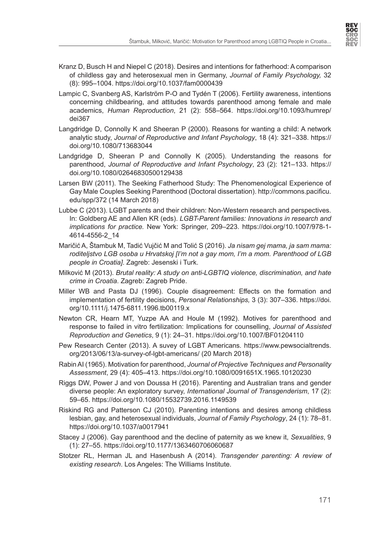

- Kranz D, Busch H and Niepel C (2018). Desires and intentions for fatherhood: A comparison of childless gay and heterosexual men in Germany, *Journal of Family Psychology,* 32 (8): 995–1004.<https://doi.org/10.1037/fam0000439>
- Lampic C, Svanberg AS, Karlström P-O and Tydén T (2006). Fertility awareness, intentions concerning childbearing, and attitudes towards parenthood among female and male academics, *Human Reproduction*, 21 (2): 558–564. [https://doi.org/10.1093/humrep/](https://doi.org/10.1093/humrep/dei367) [dei367](https://doi.org/10.1093/humrep/dei367)
- Langdridge D, Connolly K and Sheeran P (2000). Reasons for wanting a child: A network analytic study, *Journal of Reproductive and Infant Psychology*, 18 (4): 321–338. [https://](https://doi.org/10.1080/713683044) [doi.org/10.1080/713683044](https://doi.org/10.1080/713683044)
- Landgridge D, Sheeran P and Connolly K (2005). Understanding the reasons for parenthood, *Journal of Reproductive and Infant Psychology*, 23 (2): 121–133. [https://](https://doi.org/10.1080/02646830500129438) [doi.org/10.1080/02646830500129438](https://doi.org/10.1080/02646830500129438)
- Larsen BW (2011). The Seeking Fatherhood Study: The Phenomenological Experience of Gay Male Couples Seeking Parenthood (Doctoral dissertation). [http://commons.pacificu.](http://commons.pacificu.edu/spp/372) [edu/spp/372](http://commons.pacificu.edu/spp/372) (14 March 2018)
- Lubbe C (2013). LGBT parents and their children: Non-Western research and perspectives. In: Goldberg AE and Allen KR (eds). *LGBT-Parent families: Innovations in research and implications for practice.* New York: Springer, 209–223. [https://doi.org/10.1007/978-1-](https://doi.org/10.1007/978-1-4614-4556-2_14) [4614-4556-2\\_14](https://doi.org/10.1007/978-1-4614-4556-2_14)
- Maričić A, Štambuk M, Tadić Vujčić M and Tolić S (2016). *Ja nisam gej mama, ja sam mama: roditeljstvo LGB osoba u Hrvatskoj [I'm not a gay mom, I'm a mom. Parenthood of LGB people in Croatia]*. Zagreb: Jesenski i Turk.
- Milković M (2013). *Brutal reality: A study on anti-LGBTIQ violence, discrimination, and hate crime in Croatia*. Zagreb: Zagreb Pride.
- Miller WB and Pasta DJ (1996). Couple disagreement: Effects on the formation and implementation of fertility decisions, *Personal Relationships,* 3 (3): 307–336. [https://doi.](https://doi.org/10.1111/j.1475-6811.1996.tb00119.x) [org/10.1111/j.1475-6811.1996.tb00119.x](https://doi.org/10.1111/j.1475-6811.1996.tb00119.x)
- Newton CR, Hearn MT, Yuzpe AA and Houle M (1992). Motives for parenthood and response to failed in vitro fertilization: Implications for counselling, *Journal of Assisted Reproduction and Genetics*, 9 (1): 24–31. <https://doi.org/10.1007/BF01204110>
- Pew Research Center (2013). A suvey of LGBT Americans*.* [https://www.pewsocialtrends.](https://www.pewsocialtrends.org/2013/06/13/a-survey-of-lgbt-americans/) [org/2013/06/13/a-survey-of-lgbt-americans/](https://www.pewsocialtrends.org/2013/06/13/a-survey-of-lgbt-americans/) (20 March 2018)
- Rabin AI (1965). Motivation for parenthood, *Journal of Projective Techniques and Personality Assessment*, 29 (4): 405–413. <https://doi.org/10.1080/0091651X.1965.10120230>
- Riggs DW, Power J and von Doussa H (2016). Parenting and Australian trans and gender diverse people: An exploratory survey, *International Journal of Transgenderism*, 17 (2): 59–65.<https://doi.org/10.1080/15532739.2016.1149539>
- Riskind RG and Patterson CJ (2010). Parenting intentions and desires among childless lesbian, gay, and heterosexual individuals, *Journal of Family Psychology*, 24 (1): 78–81. <https://doi.org/10.1037/a0017941>
- Stacey J (2006). Gay parenthood and the decline of paternity as we knew it, *Sexualities*, 9 (1): 27–55.<https://doi.org/10.1177/1363460706060687>
- Stotzer RL, Herman JL and Hasenbush A (2014). *Transgender parenting: A review of existing research*. Los Angeles: The Williams Institute.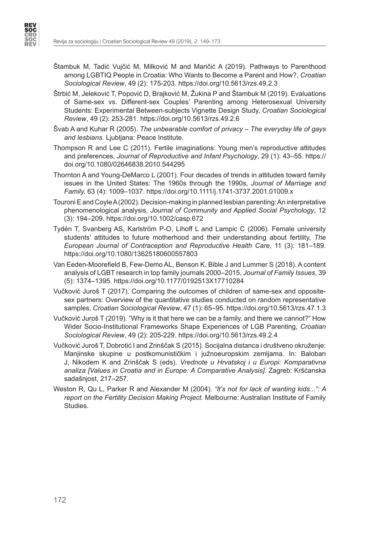

- Štambuk M, Tadić Vujčić M, Milković M and Maričić A (2019). Pathways to Parenthood among LGBTIQ People in Croatia: Who Wants to Become a Parent and How?, *Croatian Sociological Review*, 49 (2): 175-203. <https://doi.org/10.5613/rzs.49.2.3>
- Štrbić M, Jeleković T, Popović D, Brajković M, Žukina P and Štambuk M (2019). Evaluations of Same-sex vs. Different-sex Couples' Parenting among Heterosexual University Students: Experimental Between-subjects Vignette Design Study, *Croatian Sociological Review*, 49 (2): 253-281.<https://doi.org/10.5613/rzs.49.2.6>
- Švab A and Kuhar R (2005). *The unbearable comfort of privacy The everyday life of gays and lesbians.* Ljubljana: Peace Institute.
- Thompson R and Lee C (2011). Fertile imaginations: Young men's reproductive attitudes and preferences, *Journal of Reproductive and Infant Psychology*, 29 (1): 43–55. [https://](https://doi.org/10.1080/02646838.2010.544295) [doi.org/10.1080/02646838.2010.544295](https://doi.org/10.1080/02646838.2010.544295)
- Thornton A and Young-DeMarco L (2001). Four decades of trends in attitudes toward family issues in the United States: The 1960s through the 1990s, *Journal of Marriage and Family,* 63 (4): 1009–1037.<https://doi.org/10.1111/j.1741-3737.2001.01009.x>
- Touroni E and Coyle A (2002). Decision-making in planned lesbian parenting: An interpretative phenomenological analysis, *Journal of Community and Applied Social Psychology*, 12 (3): 194–209.<https://doi.org/10.1002/casp.672>
- Tydén T, Svanberg AS, Karlström P-O, Lihoff L and Lampic C (2006). Female university students' attitudes to future motherhood and their understanding about fertility, *The European Journal of Contraception and Reproductive Health Care*, 11 (3): 181–189. <https://doi.org/10.1080/13625180600557803>
- Van Eeden-Moorefield B, Few-Demo AL, Benson K, Bible J and Lummer S (2018). A content analysis of LGBT research in top family journals 2000–2015, *Journal of Family Issues*, 39 (5): 1374–1395.<https://doi.org/10.1177/0192513X17710284>
- Vučković Juroš T (2017). Comparing the outcomes of children of same-sex and oppositesex partners: Overview of the quantitative studies conducted on random representative samples, *Croatian Sociological Review*, 47 (1): 65–95.<https://doi.org/10.5613/rzs.47.1.3>
- Vučković Juroš T (2019). "Why is it that here we can be a family, and there we cannot?" How Wider Socio-Institutional Frameworks Shape Experiences of LGB Parenting, *Croatian Sociological Review*, 49 (2): 205-229. <https://doi.org/10.5613/rzs.49.2.4>
- Vučković Juroš T, Dobrotić I and Zrinščak S (2015). Socijalna distanca i društveno okruženje: Manjinske skupine u postkomunističkim i južnoeuropskim zemljama. In: Baloban J, Nikodem K and Zrinščak S (eds). *Vrednote u Hrvatskoj i u Europi: Komparativna analiza [Values in Croatia and in Europe: A Comparative Analysis].* Zagreb: Kršćanska sadašnjost, 217–257.
- Weston R, Qu L, Parker R and Alexander M (2004). *"It's not for lack of wanting kids...": A report on the Fertility Decision Making Project.* Melbourne: Australian Institute of Family Studies.